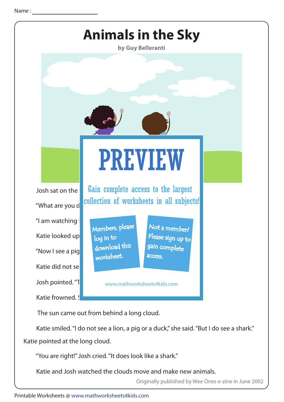

 Katie smiled. "I do not see a lion, a pig or a duck," she said. "But I do see a shark." Katie pointed at the long cloud.

"You are right!" Josh cried. "It does look like a shark."

Katie and Josh watched the clouds move and make new animals.

Originally published by Wee Ones e-zine in June 2002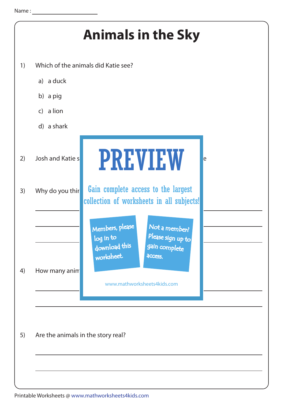